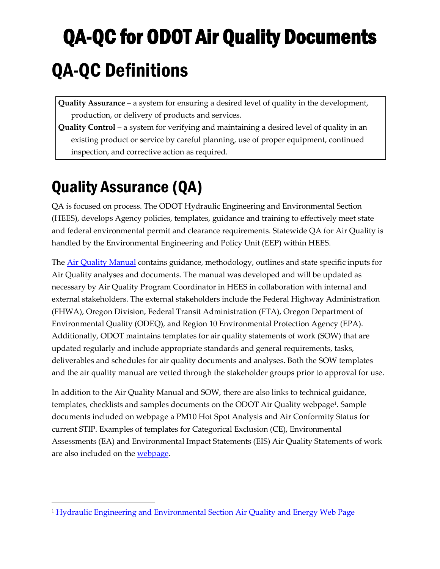# QA-QC for ODOT Air Quality Documents QA-QC Definitions

**Quality Assurance** – a system for ensuring a desired level of quality in the development, production, or delivery of products and services.

**Quality Control** – a system for verifying and maintaining a desired level of quality in an existing product or service by careful planning, use of proper equipment, continued inspection, and corrective action as required.

# Quality Assurance (QA)

QA is focused on process. The ODOT Hydraulic Engineering and Environmental Section (HEES), develops Agency policies, templates, guidance and training to effectively meet state and federal environmental permit and clearance requirements. Statewide QA for Air Quality is handled by the Environmental Engineering and Policy Unit (EEP) within HEES.

The [Air Quality Manual](https://www.oregon.gov/ODOT/GeoEnvironmental/Docs_Environmental/Air-Quality-Manual.pdf) contains guidance, methodology, outlines and state specific inputs for Air Quality analyses and documents. The manual was developed and will be updated as necessary by Air Quality Program Coordinator in HEES in collaboration with internal and external stakeholders. The external stakeholders include the Federal Highway Administration (FHWA), Oregon Division, Federal Transit Administration (FTA), Oregon Department of Environmental Quality (ODEQ), and Region 10 Environmental Protection Agency (EPA). Additionally, ODOT maintains templates for air quality statements of work (SOW) that are updated regularly and include appropriate standards and general requirements, tasks, deliverables and schedules for air quality documents and analyses. Both the SOW templates and the air quality manual are vetted through the stakeholder groups prior to approval for use.

In addition to the Air Quality Manual and SOW, there are also links to technical guidance, templates, checklists and samples documents on the ODOT Air Quality webpage<sup>[1](#page-0-0)</sup>. Sample documents included on webpage a PM10 Hot Spot Analysis and Air Conformity Status for current STIP. Examples of templates for Categorical Exclusion (CE), Environmental Assessments (EA) and Environmental Impact Statements (EIS) Air Quality Statements of work are also included on the webpage.

<span id="page-0-0"></span><sup>1</sup> [Hydraulic Engineering and Environmental Section](https://www.oregon.gov/ODOT/GeoEnvironmental/Pages/Air.aspx) Air Quality and Energy Web Page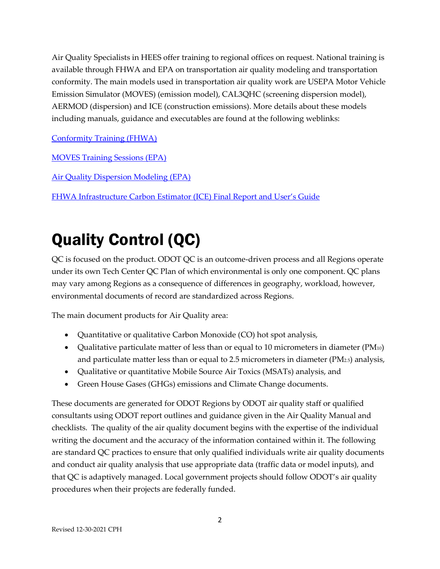Air Quality Specialists in HEES offer training to regional offices on request. National training is available through FHWA and EPA on transportation air quality modeling and transportation conformity. The main models used in transportation air quality work are USEPA Motor Vehicle Emission Simulator (MOVES) (emission model), CAL3QHC (screening dispersion model), AERMOD (dispersion) and ICE (construction emissions). More details about these models including manuals, guidance and executables are found at the following weblinks:

[Conformity Training](https://www.fhwa.dot.gov/Environment/air_quality/conformity/training/) (FHWA)

[MOVES Training Sessions](https://www.epa.gov/moves/moves-training-sessions) (EPA)

[Air Quality Dispersion Modeling](https://www.epa.gov/scram/air-quality-dispersion-modeling) (EPA)

[FHWA Infrastructure Carbon Estimator \(ICE\) Final Report and User's Guide](https://www.fhwa.dot.gov/environment/sustainability/energy/tools/carbon_estimator/)

# Quality Control (QC)

QC is focused on the product. ODOT QC is an outcome-driven process and all Regions operate under its own Tech Center QC Plan of which environmental is only one component. QC plans may vary among Regions as a consequence of differences in geography, workload, however, environmental documents of record are standardized across Regions.

The main document products for Air Quality area:

- Quantitative or qualitative Carbon Monoxide (CO) hot spot analysis,
- Qualitative particulate matter of less than or equal to 10 micrometers in diameter (PM10) and particulate matter less than or equal to 2.5 micrometers in diameter  $(PM<sub>2.5</sub>)$  analysis,
- Qualitative or quantitative Mobile Source Air Toxics (MSATs) analysis, and
- Green House Gases (GHGs) emissions and Climate Change documents.

These documents are generated for ODOT Regions by ODOT air quality staff or qualified consultants using ODOT report outlines and guidance given in the Air Quality Manual and checklists. The quality of the air quality document begins with the expertise of the individual writing the document and the accuracy of the information contained within it. The following are standard QC practices to ensure that only qualified individuals write air quality documents and conduct air quality analysis that use appropriate data (traffic data or model inputs), and that QC is adaptively managed. Local government projects should follow ODOT's air quality procedures when their projects are federally funded.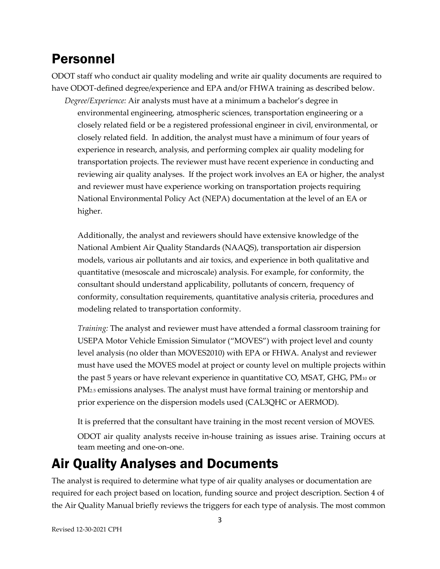## Personnel

ODOT staff who conduct air quality modeling and write air quality documents are required to have ODOT-defined degree/experience and EPA and/or FHWA training as described below.

*Degree/Experience:* Air analysts must have at a minimum a bachelor's degree in environmental engineering, atmospheric sciences, transportation engineering or a closely related field or be a registered professional engineer in civil, environmental, or closely related field. In addition, the analyst must have a minimum of four years of experience in research, analysis, and performing complex air quality modeling for transportation projects. The reviewer must have recent experience in conducting and reviewing air quality analyses. If the project work involves an EA or higher, the analyst and reviewer must have experience working on transportation projects requiring National Environmental Policy Act (NEPA) documentation at the level of an EA or higher.

Additionally, the analyst and reviewers should have extensive knowledge of the National Ambient Air Quality Standards (NAAQS), transportation air dispersion models, various air pollutants and air toxics, and experience in both qualitative and quantitative (mesoscale and microscale) analysis. For example, for conformity, the consultant should understand applicability, pollutants of concern, frequency of conformity, consultation requirements, quantitative analysis criteria, procedures and modeling related to transportation conformity.

*Training:* The analyst and reviewer must have attended a formal classroom training for USEPA Motor Vehicle Emission Simulator ("MOVES") with project level and county level analysis (no older than MOVES2010) with EPA or FHWA. Analyst and reviewer must have used the MOVES model at project or county level on multiple projects within the past 5 years or have relevant experience in quantitative CO, MSAT, GHG, PM10 or PM2.5 emissions analyses. The analyst must have formal training or mentorship and prior experience on the dispersion models used (CAL3QHC or AERMOD).

It is preferred that the consultant have training in the most recent version of MOVES.

ODOT air quality analysts receive in-house training as issues arise. Training occurs at team meeting and one-on-one.

## Air Quality Analyses and Documents

The analyst is required to determine what type of air quality analyses or documentation are required for each project based on location, funding source and project description. Section 4 of the Air Quality Manual briefly reviews the triggers for each type of analysis. The most common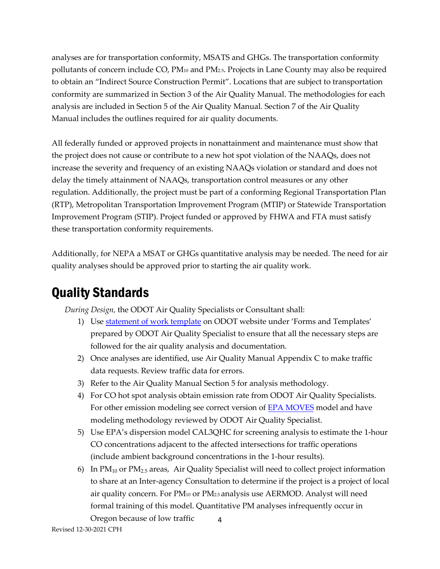analyses are for transportation conformity, MSATS and GHGs. The transportation conformity pollutants of concern include CO, PM10 and PM2.5. Projects in Lane County may also be required to obtain an "Indirect Source Construction Permit". Locations that are subject to transportation conformity are summarized in Section 3 of the Air Quality Manual. The methodologies for each analysis are included in Section 5 of the Air Quality Manual. Section 7 of the Air Quality Manual includes the outlines required for air quality documents.

All federally funded or approved projects in nonattainment and maintenance must show that the project does not cause or contribute to a new hot spot violation of the NAAQs, does not increase the severity and frequency of an existing NAAQs violation or standard and does not delay the timely attainment of NAAQs, transportation control measures or any other regulation. Additionally, the project must be part of a conforming Regional Transportation Plan (RTP), Metropolitan Transportation Improvement Program (MTIP) or Statewide Transportation Improvement Program (STIP). Project funded or approved by FHWA and FTA must satisfy these transportation conformity requirements.

Additionally, for NEPA a MSAT or GHGs quantitative analysis may be needed. The need for air quality analyses should be approved prior to starting the air quality work.

# Quality Standards

*During Design,* the ODOT Air Quality Specialists or Consultant shall:

- 1) Use statement [of work template](https://www.oregon.gov/ODOT/GeoEnvironmental/Pages/Air.aspx) on ODOT website under 'Forms and Templates' prepared by ODOT Air Quality Specialist to ensure that all the necessary steps are followed for the air quality analysis and documentation.
- 2) Once analyses are identified, use Air Quality Manual Appendix C to make traffic data requests. Review traffic data for errors.
- 3) Refer to the Air Quality Manual Section 5 for analysis methodology.
- 4) For CO hot spot analysis obtain emission rate from ODOT Air Quality Specialists. For other emission modeling see correct version of [EPA MOVES](https://www.epa.gov/moves/latest-version-motor-vehicle-emission-simulator-moves) model and have modeling methodology reviewed by ODOT Air Quality Specialist.
- 5) Use EPA's dispersion model CAL3QHC for screening analysis to estimate the 1-hour CO concentrations adjacent to the affected intersections for traffic operations (include ambient background concentrations in the 1-hour results).
- 4 6) In  $PM_{10}$  or  $PM_{2.5}$  areas, Air Quality Specialist will need to collect project information to share at an Inter-agency Consultation to determine if the project is a project of local air quality concern. For PM10 or PM2.5 analysis use AERMOD. Analyst will need formal training of this model. Quantitative PM analyses infrequently occur in Oregon because of low traffic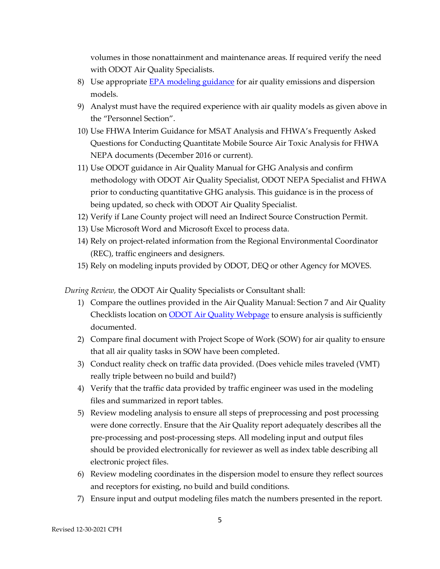volumes in those nonattainment and maintenance areas. If required verify the need with ODOT Air Quality Specialists.

- 8) Use appropriate [EPA modeling guidance](https://www.epa.gov/scram/air-quality-dispersion-modeling-preferred-and-recommended-models) for air quality emissions and dispersion models.
- 9) Analyst must have the required experience with air quality models as given above in the "Personnel Section".
- 10) Use FHWA Interim Guidance for MSAT Analysis and FHWA's Frequently Asked Questions for Conducting Quantitate Mobile Source Air Toxic Analysis for FHWA NEPA documents (December 2016 or current).
- 11) Use ODOT guidance in Air Quality Manual for GHG Analysis and confirm methodology with ODOT Air Quality Specialist, ODOT NEPA Specialist and FHWA prior to conducting quantitative GHG analysis. This guidance is in the process of being updated, so check with ODOT Air Quality Specialist.
- 12) Verify if Lane County project will need an Indirect Source Construction Permit.
- 13) Use Microsoft Word and Microsoft Excel to process data.
- 14) Rely on project-related information from the Regional Environmental Coordinator (REC), traffic engineers and designers.
- 15) Rely on modeling inputs provided by ODOT, DEQ or other Agency for MOVES.

*During Review,* the ODOT Air Quality Specialists or Consultant shall:

- 1) Compare the outlines provided in the Air Quality Manual: Section 7 and Air Quality Checklists location on **ODOT** Air Quality Webpage to ensure analysis is sufficiently documented.
- 2) Compare final document with Project Scope of Work (SOW) for air quality to ensure that all air quality tasks in SOW have been completed.
- 3) Conduct reality check on traffic data provided. (Does vehicle miles traveled (VMT) really triple between no build and build?)
- 4) Verify that the traffic data provided by traffic engineer was used in the modeling files and summarized in report tables.
- 5) Review modeling analysis to ensure all steps of preprocessing and post processing were done correctly. Ensure that the Air Quality report adequately describes all the pre-processing and post-processing steps. All modeling input and output files should be provided electronically for reviewer as well as index table describing all electronic project files.
- 6) Review modeling coordinates in the dispersion model to ensure they reflect sources and receptors for existing, no build and build conditions.
- 7) Ensure input and output modeling files match the numbers presented in the report.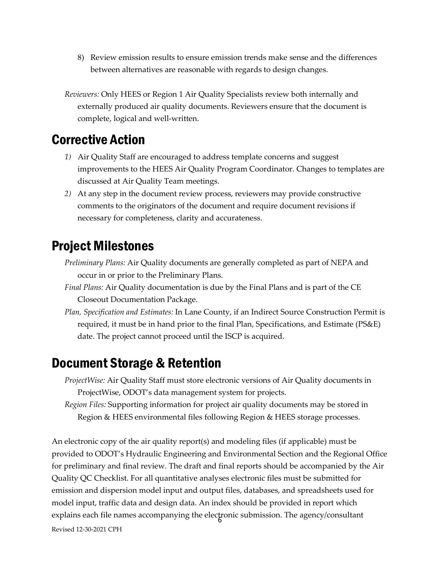8) Review emission results to ensure emission trends make sense and the differences between alternatives are reasonable with regards to design changes.

*Reviewers:* Only HEES or Region 1 Air Quality Specialists review both internally and externally produced air quality documents. Reviewers ensure that the document is complete, logical and well-written.

#### Corrective Action

- *1)* Air Quality Staff are encouraged to address template concerns and suggest improvements to the HEES Air Quality Program Coordinator. Changes to templates are discussed at Air Quality Team meetings.
- *2)* At any step in the document review process, reviewers may provide constructive comments to the originators of the document and require document revisions if necessary for completeness, clarity and accurateness.

### Project Milestones

*Preliminary Plans:* Air Quality documents are generally completed as part of NEPA and occur in or prior to the Preliminary Plans.

- *Final Plans:* Air Quality documentation is due by the Final Plans and is part of the CE Closeout Documentation Package.
- *Plan, Specification and Estimates:* In Lane County, if an Indirect Source Construction Permit is required, it must be in hand prior to the final Plan, Specifications, and Estimate (PS&E) date. The project cannot proceed until the ISCP is acquired.

### Document Storage & Retention

*ProjectWise:* Air Quality Staff must store electronic versions of Air Quality documents in ProjectWise, ODOT's data management system for projects.

*Region Files:* Supporting information for project air quality documents may be stored in Region & HEES environmental files following Region & HEES storage processes.

explains each file names accompanying the electronic submission. The agency/consultant Revised 12-30-2021 CPH An electronic copy of the air quality report(s) and modeling files (if applicable) must be provided to ODOT's Hydraulic Engineering and Environmental Section and the Regional Office for preliminary and final review. The draft and final reports should be accompanied by the Air Quality QC Checklist. For all quantitative analyses electronic files must be submitted for emission and dispersion model input and output files, databases, and spreadsheets used for model input, traffic data and design data. An index should be provided in report which